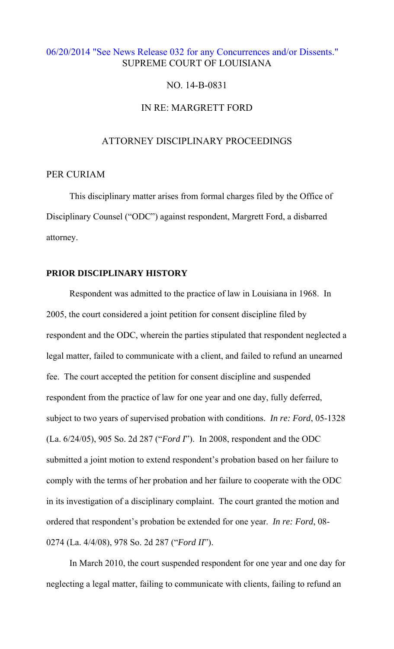# [06/20/2014 "See News Release 032 for any Concurrences and/or Dissents."](http://www.lasc.org/Actions?p=2014-032)  SUPREME COURT OF LOUISIANA

#### NO. 14-B-0831

# IN RE: MARGRETT FORD

## ATTORNEY DISCIPLINARY PROCEEDINGS

## PER CURIAM

This disciplinary matter arises from formal charges filed by the Office of Disciplinary Counsel ("ODC") against respondent, Margrett Ford, a disbarred attorney.

## **PRIOR DISCIPLINARY HISTORY**

 Respondent was admitted to the practice of law in Louisiana in 1968. In 2005, the court considered a joint petition for consent discipline filed by respondent and the ODC, wherein the parties stipulated that respondent neglected a legal matter, failed to communicate with a client, and failed to refund an unearned fee. The court accepted the petition for consent discipline and suspended respondent from the practice of law for one year and one day, fully deferred, subject to two years of supervised probation with conditions. *In re: Ford*, 05-1328 (La. 6/24/05), 905 So. 2d 287 ("*Ford I*"). In 2008, respondent and the ODC submitted a joint motion to extend respondent's probation based on her failure to comply with the terms of her probation and her failure to cooperate with the ODC in its investigation of a disciplinary complaint. The court granted the motion and ordered that respondent's probation be extended for one year. *In re: Ford*, 08- 0274 (La. 4/4/08), 978 So. 2d 287 ("*Ford II*").

In March 2010, the court suspended respondent for one year and one day for neglecting a legal matter, failing to communicate with clients, failing to refund an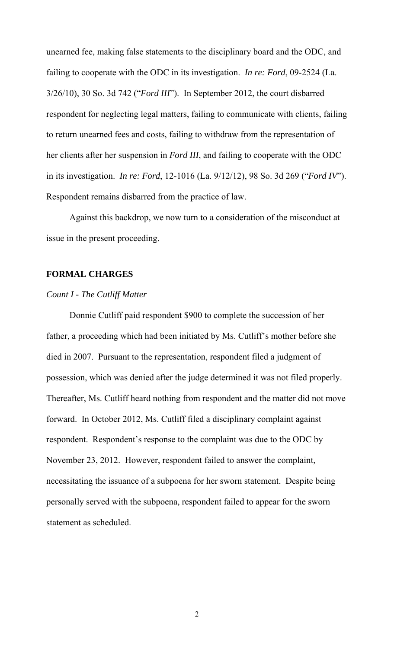unearned fee, making false statements to the disciplinary board and the ODC, and failing to cooperate with the ODC in its investigation. *In re: Ford*, 09-2524 (La. 3/26/10), 30 So. 3d 742 ("*Ford III*"). In September 2012, the court disbarred respondent for neglecting legal matters, failing to communicate with clients, failing to return unearned fees and costs, failing to withdraw from the representation of her clients after her suspension in *Ford III*, and failing to cooperate with the ODC in its investigation. *In re: Ford*, 12-1016 (La. 9/12/12), 98 So. 3d 269 ("*Ford IV*"). Respondent remains disbarred from the practice of law.

Against this backdrop, we now turn to a consideration of the misconduct at issue in the present proceeding.

## **FORMAL CHARGES**

#### *Count I - The Cutliff Matter*

Donnie Cutliff paid respondent \$900 to complete the succession of her father, a proceeding which had been initiated by Ms. Cutliff's mother before she died in 2007. Pursuant to the representation, respondent filed a judgment of possession, which was denied after the judge determined it was not filed properly. Thereafter, Ms. Cutliff heard nothing from respondent and the matter did not move forward. In October 2012, Ms. Cutliff filed a disciplinary complaint against respondent. Respondent's response to the complaint was due to the ODC by November 23, 2012. However, respondent failed to answer the complaint, necessitating the issuance of a subpoena for her sworn statement. Despite being personally served with the subpoena, respondent failed to appear for the sworn statement as scheduled.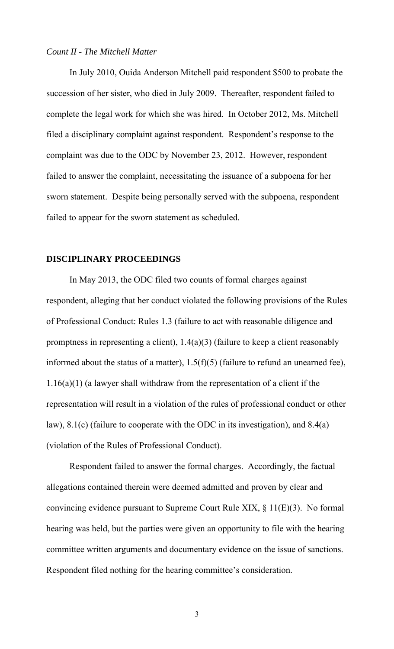## *Count II - The Mitchell Matter*

 In July 2010, Ouida Anderson Mitchell paid respondent \$500 to probate the succession of her sister, who died in July 2009. Thereafter, respondent failed to complete the legal work for which she was hired. In October 2012, Ms. Mitchell filed a disciplinary complaint against respondent. Respondent's response to the complaint was due to the ODC by November 23, 2012. However, respondent failed to answer the complaint, necessitating the issuance of a subpoena for her sworn statement. Despite being personally served with the subpoena, respondent failed to appear for the sworn statement as scheduled.

## **DISCIPLINARY PROCEEDINGS**

 In May 2013, the ODC filed two counts of formal charges against respondent, alleging that her conduct violated the following provisions of the Rules of Professional Conduct: Rules 1.3 (failure to act with reasonable diligence and promptness in representing a client), 1.4(a)(3) (failure to keep a client reasonably informed about the status of a matter),  $1.5(f)(5)$  (failure to refund an unearned fee), 1.16(a)(1) (a lawyer shall withdraw from the representation of a client if the representation will result in a violation of the rules of professional conduct or other law), 8.1(c) (failure to cooperate with the ODC in its investigation), and 8.4(a) (violation of the Rules of Professional Conduct).

Respondent failed to answer the formal charges. Accordingly, the factual allegations contained therein were deemed admitted and proven by clear and convincing evidence pursuant to Supreme Court Rule XIX, § 11(E)(3). No formal hearing was held, but the parties were given an opportunity to file with the hearing committee written arguments and documentary evidence on the issue of sanctions. Respondent filed nothing for the hearing committee's consideration.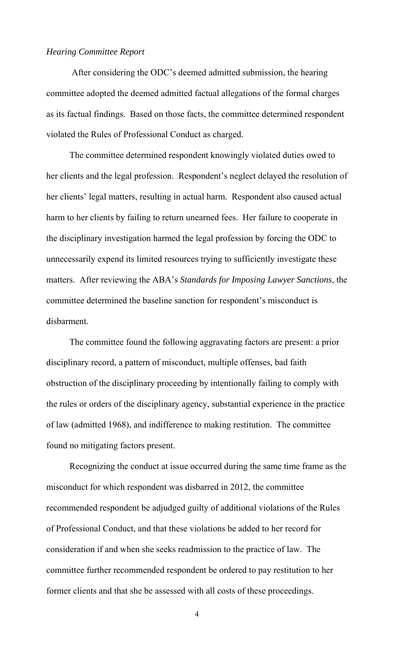#### *Hearing Committee Report*

 After considering the ODC's deemed admitted submission, the hearing committee adopted the deemed admitted factual allegations of the formal charges as its factual findings. Based on those facts, the committee determined respondent violated the Rules of Professional Conduct as charged.

The committee determined respondent knowingly violated duties owed to her clients and the legal profession. Respondent's neglect delayed the resolution of her clients' legal matters, resulting in actual harm. Respondent also caused actual harm to her clients by failing to return unearned fees. Her failure to cooperate in the disciplinary investigation harmed the legal profession by forcing the ODC to unnecessarily expend its limited resources trying to sufficiently investigate these matters. After reviewing the ABA's *Standards for Imposing Lawyer Sanctions*, the committee determined the baseline sanction for respondent's misconduct is disbarment.

The committee found the following aggravating factors are present: a prior disciplinary record, a pattern of misconduct, multiple offenses, bad faith obstruction of the disciplinary proceeding by intentionally failing to comply with the rules or orders of the disciplinary agency, substantial experience in the practice of law (admitted 1968), and indifference to making restitution. The committee found no mitigating factors present.

 Recognizing the conduct at issue occurred during the same time frame as the misconduct for which respondent was disbarred in 2012, the committee recommended respondent be adjudged guilty of additional violations of the Rules of Professional Conduct, and that these violations be added to her record for consideration if and when she seeks readmission to the practice of law. The committee further recommended respondent be ordered to pay restitution to her former clients and that she be assessed with all costs of these proceedings.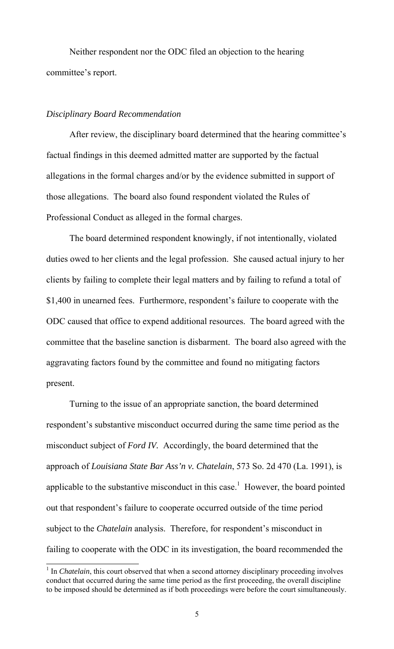Neither respondent nor the ODC filed an objection to the hearing committee's report.

#### *Disciplinary Board Recommendation*

 After review, the disciplinary board determined that the hearing committee's factual findings in this deemed admitted matter are supported by the factual allegations in the formal charges and/or by the evidence submitted in support of those allegations. The board also found respondent violated the Rules of Professional Conduct as alleged in the formal charges.

 The board determined respondent knowingly, if not intentionally, violated duties owed to her clients and the legal profession. She caused actual injury to her clients by failing to complete their legal matters and by failing to refund a total of \$1,400 in unearned fees. Furthermore, respondent's failure to cooperate with the ODC caused that office to expend additional resources. The board agreed with the committee that the baseline sanction is disbarment. The board also agreed with the aggravating factors found by the committee and found no mitigating factors present.

Turning to the issue of an appropriate sanction, the board determined respondent's substantive misconduct occurred during the same time period as the misconduct subject of *Ford IV.* Accordingly, the board determined that the approach of *Louisiana State Bar Ass'n v. Chatelain*, 573 So. 2d 470 (La. 1991), is applicable to the substantive misconduct in this case.<sup>1</sup> However, the board pointed out that respondent's failure to cooperate occurred outside of the time period subject to the *Chatelain* analysis. Therefore, for respondent's misconduct in failing to cooperate with the ODC in its investigation, the board recommended the

 $\overline{a}$ 

<sup>&</sup>lt;sup>1</sup> In *Chatelain*, this court observed that when a second attorney disciplinary proceeding involves conduct that occurred during the same time period as the first proceeding, the overall discipline to be imposed should be determined as if both proceedings were before the court simultaneously.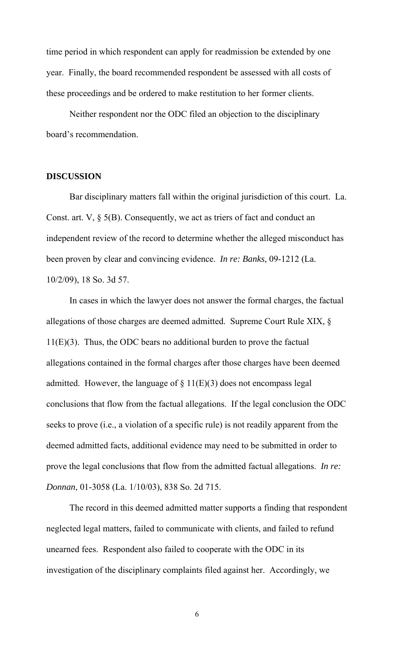time period in which respondent can apply for readmission be extended by one year. Finally, the board recommended respondent be assessed with all costs of these proceedings and be ordered to make restitution to her former clients.

 Neither respondent nor the ODC filed an objection to the disciplinary board's recommendation.

#### **DISCUSSION**

Bar disciplinary matters fall within the original jurisdiction of this court. La. Const. art. V, § 5(B). Consequently, we act as triers of fact and conduct an independent review of the record to determine whether the alleged misconduct has been proven by clear and convincing evidence. *In re: Banks*, 09-1212 (La. 10/2/09), 18 So. 3d 57.

In cases in which the lawyer does not answer the formal charges, the factual allegations of those charges are deemed admitted. Supreme Court Rule XIX, § 11(E)(3). Thus, the ODC bears no additional burden to prove the factual allegations contained in the formal charges after those charges have been deemed admitted. However, the language of  $\S 11(E)(3)$  does not encompass legal conclusions that flow from the factual allegations. If the legal conclusion the ODC seeks to prove (i.e., a violation of a specific rule) is not readily apparent from the deemed admitted facts, additional evidence may need to be submitted in order to prove the legal conclusions that flow from the admitted factual allegations. *In re: Donnan*, 01-3058 (La. 1/10/03), 838 So. 2d 715.

The record in this deemed admitted matter supports a finding that respondent neglected legal matters, failed to communicate with clients, and failed to refund unearned fees. Respondent also failed to cooperate with the ODC in its investigation of the disciplinary complaints filed against her. Accordingly, we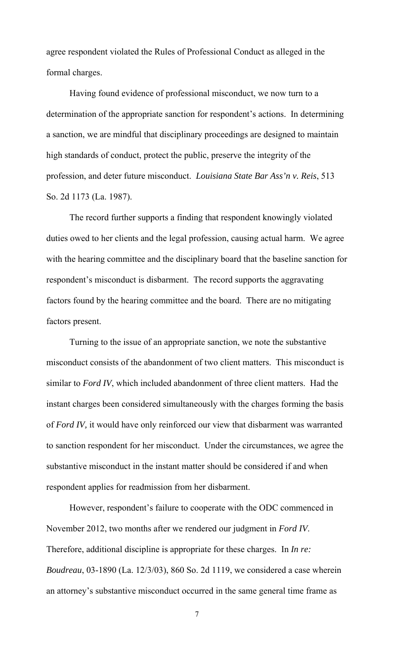agree respondent violated the Rules of Professional Conduct as alleged in the formal charges.

Having found evidence of professional misconduct, we now turn to a determination of the appropriate sanction for respondent's actions. In determining a sanction, we are mindful that disciplinary proceedings are designed to maintain high standards of conduct, protect the public, preserve the integrity of the profession, and deter future misconduct. *Louisiana State Bar Ass'n v. Reis*, 513 So. 2d 1173 (La. 1987).

 The record further supports a finding that respondent knowingly violated duties owed to her clients and the legal profession, causing actual harm. We agree with the hearing committee and the disciplinary board that the baseline sanction for respondent's misconduct is disbarment. The record supports the aggravating factors found by the hearing committee and the board. There are no mitigating factors present.

Turning to the issue of an appropriate sanction, we note the substantive misconduct consists of the abandonment of two client matters. This misconduct is similar to *Ford IV*, which included abandonment of three client matters. Had the instant charges been considered simultaneously with the charges forming the basis of *Ford IV,* it would have only reinforced our view that disbarment was warranted to sanction respondent for her misconduct. Under the circumstances, we agree the substantive misconduct in the instant matter should be considered if and when respondent applies for readmission from her disbarment.

However, respondent's failure to cooperate with the ODC commenced in November 2012, two months after we rendered our judgment in *Ford IV*. Therefore, additional discipline is appropriate for these charges. In *In re: Boudreau*, 03-1890 (La. 12/3/03), 860 So. 2d 1119, we considered a case wherein an attorney's substantive misconduct occurred in the same general time frame as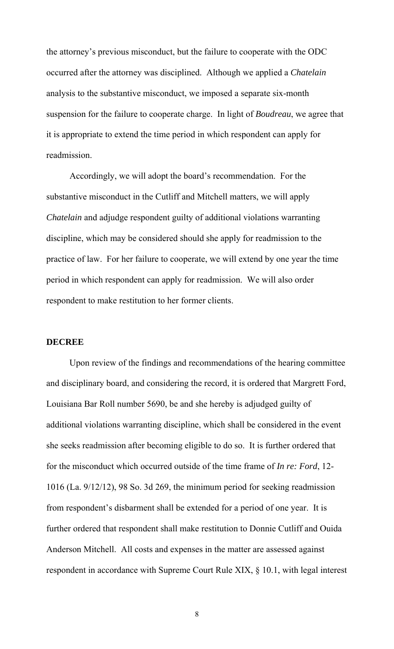the attorney's previous misconduct, but the failure to cooperate with the ODC occurred after the attorney was disciplined. Although we applied a *Chatelain* analysis to the substantive misconduct, we imposed a separate six-month suspension for the failure to cooperate charge. In light of *Boudreau*, we agree that it is appropriate to extend the time period in which respondent can apply for readmission.

Accordingly, we will adopt the board's recommendation. For the substantive misconduct in the Cutliff and Mitchell matters, we will apply *Chatelain* and adjudge respondent guilty of additional violations warranting discipline, which may be considered should she apply for readmission to the practice of law. For her failure to cooperate, we will extend by one year the time period in which respondent can apply for readmission. We will also order respondent to make restitution to her former clients.

#### **DECREE**

 Upon review of the findings and recommendations of the hearing committee and disciplinary board, and considering the record, it is ordered that Margrett Ford, Louisiana Bar Roll number 5690, be and she hereby is adjudged guilty of additional violations warranting discipline, which shall be considered in the event she seeks readmission after becoming eligible to do so. It is further ordered that for the misconduct which occurred outside of the time frame of *In re: Ford*, 12- 1016 (La. 9/12/12), 98 So. 3d 269, the minimum period for seeking readmission from respondent's disbarment shall be extended for a period of one year. It is further ordered that respondent shall make restitution to Donnie Cutliff and Ouida Anderson Mitchell. All costs and expenses in the matter are assessed against respondent in accordance with Supreme Court Rule XIX, § 10.1, with legal interest